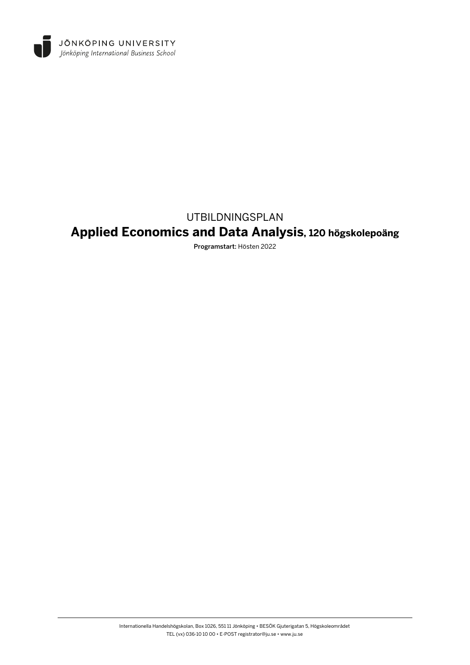

# UTBILDNINGSPLAN **Applied Economics and Data Analysis, 120 högskolepoäng**

Programstart: Hösten 2022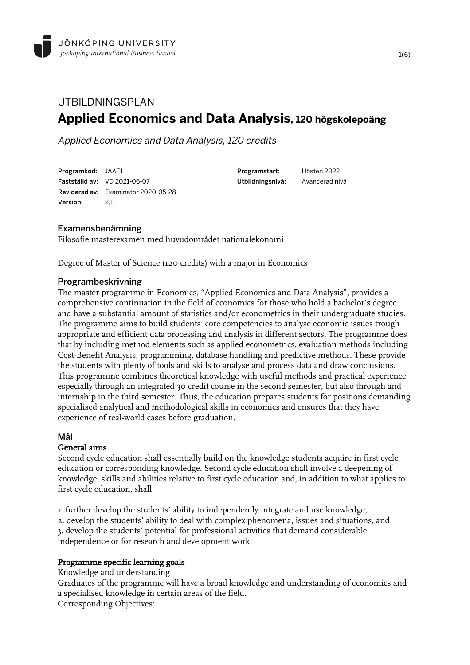## UTBILDNINGSPLAN **Applied Economics and Data Analysis, 120 högskolepoäng**

Applied Economics and Data Analysis, 120 credits

Programkod: JAAE1 Fastställd av: VD 2021-06-07 Reviderad av: Examinator 2020-05-28 Version: 21

Programstart: Hösten 2022 Utbildningsnivå: Avancerad nivå

## Examensbenämning

Filosofie masterexamen med huvudområdet nationalekonomi

Degree of Master of Science (120 credits) with a major in Economics

## Programbeskrivning

The master programme in Economics, "Applied Economics and Data Analysis", provides a comprehensive continuation in the field of economics for those who hold a bachelor's degree and have a substantial amount of statistics and/or econometrics in their undergraduate studies. The programme aims to build students' core competencies to analyse economic issues trough appropriate and efficient data processing and analysis in different sectors. The programme does that by including method elements such as applied econometrics, evaluation methods including Cost-Benefit Analysis, programming, database handling and predictive methods. These provide the students with plenty of tools and skills to analyse and process data and draw conclusions. This programme combines theoretical knowledge with useful methods and practical experience especially through an integrated 30 credit course in the second semester, but also through and internship in the third semester. Thus, the education prepares students for positions demanding specialised analytical and methodological skills in economics and ensures that they have experience of real-world cases before graduation.

## Mål

## General aims

Second cycle education shall essentially build on the knowledge students acquire in first cycle education or corresponding knowledge. Second cycle education shall involve a deepening of knowledge, skills and abilities relative to first cycle education and, in addition to what applies to first cycle education, shall

1. further develop the students' ability to independently integrate and use knowledge, 2. develop the students' ability to deal with complex phenomena, issues and situations, and 3. develop the students' potential for professional activities that demand considerable

independence or for research and development work.

## Programme specific learning goals

Knowledge and understanding

Graduates of the programme will have a broad knowledge and understanding of economics and a specialised knowledge in certain areas of the field. Corresponding Objectives: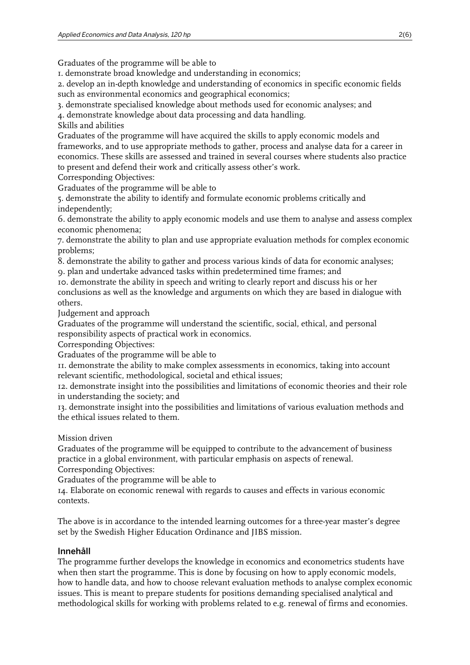Graduates of the programme will be able to

1. demonstrate broad knowledge and understanding in economics;

2. develop an in-depth knowledge and understanding of economics in specific economic fields such as environmental economics and geographical economics;

3. demonstrate specialised knowledge about methods used for economic analyses; and

4. demonstrate knowledge about data processing and data handling.

Skills and abilities

Graduates of the programme will have acquired the skills to apply economic models and frameworks, and to use appropriate methods to gather, process and analyse data for a career in economics. These skills are assessed and trained in several courses where students also practice to present and defend their work and critically assess other's work.

Corresponding Objectives:

Graduates of the programme will be able to

5. demonstrate the ability to identify and formulate economic problems critically and independently;

6. demonstrate the ability to apply economic models and use them to analyse and assess complex economic phenomena;

7. demonstrate the ability to plan and use appropriate evaluation methods for complex economic problems;

8. demonstrate the ability to gather and process various kinds of data for economic analyses;

9. plan and undertake advanced tasks within predetermined time frames; and

10. demonstrate the ability in speech and writing to clearly report and discuss his or her conclusions as well as the knowledge and arguments on which they are based in dialogue with others.

Judgement and approach

Graduates of the programme will understand the scientific, social, ethical, and personal responsibility aspects of practical work in economics.

Corresponding Objectives:

Graduates of the programme will be able to

11. demonstrate the ability to make complex assessments in economics, taking into account relevant scientific, methodological, societal and ethical issues;

12. demonstrate insight into the possibilities and limitations of economic theories and their role in understanding the society; and

13. demonstrate insight into the possibilities and limitations of various evaluation methods and the ethical issues related to them.

Mission driven

Graduates of the programme will be equipped to contribute to the advancement of business practice in a global environment, with particular emphasis on aspects of renewal.

Corresponding Objectives:

Graduates of the programme will be able to

14. Elaborate on economic renewal with regards to causes and effects in various economic contexts.

The above is in accordance to the intended learning outcomes for a three-year master's degree set by the Swedish Higher Education Ordinance and JIBS mission.

## Innehåll

The programme further develops the knowledge in economics and econometrics students have when then start the programme. This is done by focusing on how to apply economic models, how to handle data, and how to choose relevant evaluation methods to analyse complex economic issues. This is meant to prepare students for positions demanding specialised analytical and methodological skills for working with problems related to e.g. renewal of firms and economies.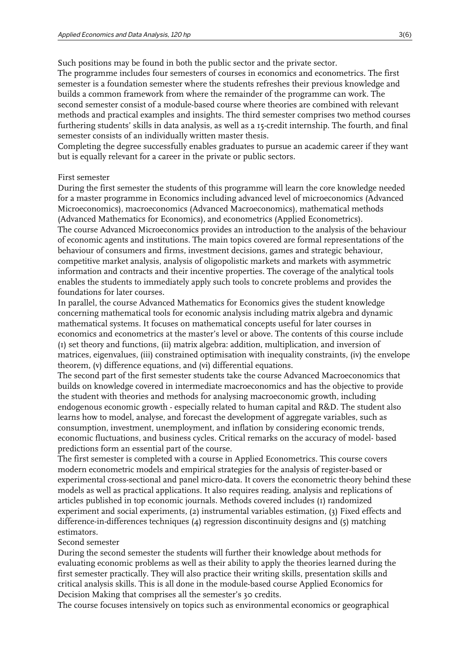Such positions may be found in both the public sector and the private sector.

The programme includes four semesters of courses in economics and econometrics. The first semester is a foundation semester where the students refreshes their previous knowledge and builds a common framework from where the remainder of the programme can work. The second semester consist of a module-based course where theories are combined with relevant methods and practical examples and insights. The third semester comprises two method courses furthering students' skills in data analysis, as well as a 15-credit internship. The fourth, and final semester consists of an individually written master thesis.

Completing the degree successfully enables graduates to pursue an academic career if they want but is equally relevant for a career in the private or public sectors.

#### First semester

During the first semester the students of this programme will learn the core knowledge needed for a master programme in Economics including advanced level of microeconomics (Advanced Microeconomics), macroeconomics (Advanced Macroeconomics), mathematical methods (Advanced Mathematics for Economics), and econometrics (Applied Econometrics). The course Advanced Microeconomics provides an introduction to the analysis of the behaviour of economic agents and institutions. The main topics covered are formal representations of the behaviour of consumers and firms, investment decisions, games and strategic behaviour, competitive market analysis, analysis of oligopolistic markets and markets with asymmetric information and contracts and their incentive properties. The coverage of the analytical tools enables the students to immediately apply such tools to concrete problems and provides the foundations for later courses.

In parallel, the course Advanced Mathematics for Economics gives the student knowledge concerning mathematical tools for economic analysis including matrix algebra and dynamic mathematical systems. It focuses on mathematical concepts useful for later courses in economics and econometrics at the master's level or above. The contents of this course include (1) set theory and functions, (ii) matrix algebra: addition, multiplication, and inversion of matrices, eigenvalues, (iii) constrained optimisation with inequality constraints, (iv) the envelope theorem, (v) difference equations, and (vi) differential equations.

The second part of the first semester students take the course Advanced Macroeconomics that builds on knowledge covered in intermediate macroeconomics and has the objective to provide the student with theories and methods for analysing macroeconomic growth, including endogenous economic growth - especially related to human capital and R&D. The student also learns how to model, analyse, and forecast the development of aggregate variables, such as consumption, investment, unemployment, and inflation by considering economic trends, economic fluctuations, and business cycles. Critical remarks on the accuracy of model- based predictions form an essential part of the course.

The first semester is completed with a course in Applied Econometrics. This course covers modern econometric models and empirical strategies for the analysis of register-based or experimental cross-sectional and panel micro-data. It covers the econometric theory behind these models as well as practical applications. It also requires reading, analysis and replications of articles published in top economic journals. Methods covered includes (1) randomized experiment and social experiments, (2) instrumental variables estimation, (3) Fixed effects and difference-in-differences techniques (4) regression discontinuity designs and (5) matching estimators.

#### Second semester

During the second semester the students will further their knowledge about methods for evaluating economic problems as well as their ability to apply the theories learned during the first semester practically. They will also practice their writing skills, presentation skills and critical analysis skills. This is all done in the module-based course Applied Economics for Decision Making that comprises all the semester's 30 credits.

The course focuses intensively on topics such as environmental economics or geographical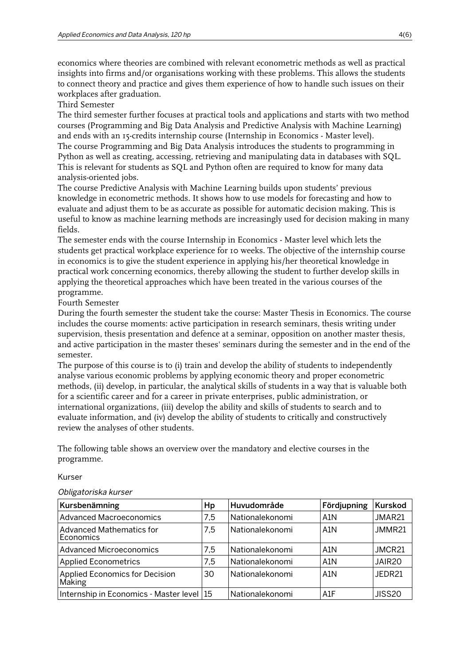economics where theories are combined with relevant econometric methods as well as practical insights into firms and/or organisations working with these problems. This allows the students to connect theory and practice and gives them experience of how to handle such issues on their workplaces after graduation.

Third Semester

The third semester further focuses at practical tools and applications and starts with two method courses (Programming and Big Data Analysis and Predictive Analysis with Machine Learning) and ends with an 15-credits internship course (Internship in Economics - Master level). The course Programming and Big Data Analysis introduces the students to programming in Python as well as creating, accessing, retrieving and manipulating data in databases with SQL. This is relevant for students as SQL and Python often are required to know for many data analysis-oriented jobs.

The course Predictive Analysis with Machine Learning builds upon students' previous knowledge in econometric methods. It shows how to use models for forecasting and how to evaluate and adjust them to be as accurate as possible for automatic decision making. This is useful to know as machine learning methods are increasingly used for decision making in many fields.

The semester ends with the course Internship in Economics - Master level which lets the students get practical workplace experience for 10 weeks. The objective of the internship course in economics is to give the student experience in applying his/her theoretical knowledge in practical work concerning economics, thereby allowing the student to further develop skills in applying the theoretical approaches which have been treated in the various courses of the programme.

Fourth Semester

During the fourth semester the student take the course: Master Thesis in Economics. The course includes the course moments: active participation in research seminars, thesis writing under supervision, thesis presentation and defence at a seminar, opposition on another master thesis, and active participation in the master theses' seminars during the semester and in the end of the semester.

The purpose of this course is to (i) train and develop the ability of students to independently analyse various economic problems by applying economic theory and proper econometric methods, (ii) develop, in particular, the analytical skills of students in a way that is valuable both for a scientific career and for a career in private enterprises, public administration, or international organizations, (iii) develop the ability and skills of students to search and to evaluate information, and (iv) develop the ability of students to critically and constructively review the analyses of other students.

The following table shows an overview over the mandatory and elective courses in the programme.

Kurser

#### Obligatoriska kurser

| Kursbenämning                                   | Hp  | Huvudområde     | Fördjupning      | Kurskod            |
|-------------------------------------------------|-----|-----------------|------------------|--------------------|
| <b>Advanced Macroeconomics</b>                  | 7,5 | Nationalekonomi | A <sub>1</sub> N | JMAR21             |
| <b>Advanced Mathematics for</b><br>Economics    | 7,5 | Nationalekonomi | A <sub>1</sub> N | JMMR21             |
| <b>Advanced Microeconomics</b>                  | 7,5 | Nationalekonomi | A1N              | JMCR21             |
| <b>Applied Econometrics</b>                     | 7.5 | Nationalekonomi | A <sub>1</sub> N | JAIR <sub>20</sub> |
| <b>Applied Economics for Decision</b><br>Making | 30  | Nationalekonomi | A <sub>1</sub> N | JEDR21             |
| Internship in Economics - Master level 15       |     | Nationalekonomi | A1F              | <b>JISS20</b>      |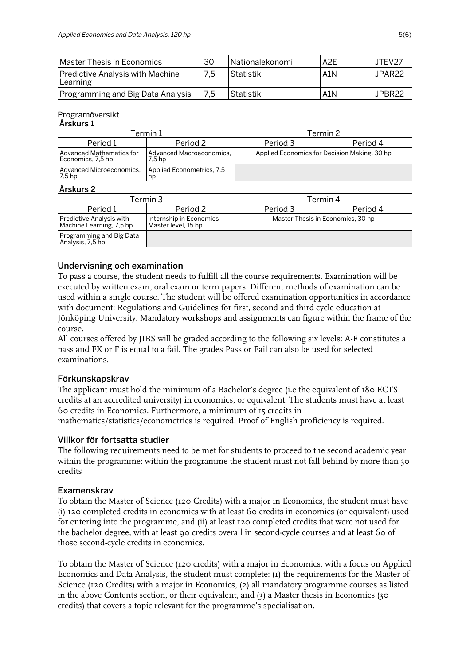| l Master Thesis in Economics                 | 30  | Nationalekonomi | A2E              | <b>JTFV27</b>      |
|----------------------------------------------|-----|-----------------|------------------|--------------------|
| Predictive Analysis with Machine<br>Learning | 7,5 | Statistik       | A <sub>1</sub> N | JPAR <sub>22</sub> |
| Programming and Big Data Analysis            | 7,5 | Statistik       | A <sub>1</sub> N | JPBR22             |

## Programöversikt

#### Årskurs 1

| Гermin 1                                      |                                    | Termin 2                                     |          |  |
|-----------------------------------------------|------------------------------------|----------------------------------------------|----------|--|
| Period 1                                      | Period 2                           | Period 3                                     | Period 4 |  |
| Advanced Mathematics for<br>Economics, 7,5 hp | Advanced Macroeconomics.<br>7.5 hp | Applied Economics for Decision Making, 30 hp |          |  |
| Advanced Microeconomics,<br>7.5 hp            | Applied Econometrics, 7,5<br>np    |                                              |          |  |

#### Årskurs 2

| Termin 3                                             |                                                  | Termin 4                          |          |  |
|------------------------------------------------------|--------------------------------------------------|-----------------------------------|----------|--|
| Period 1                                             | Period 2                                         | Period 3                          | Period 4 |  |
| Predictive Analysis with<br>Machine Learning, 7,5 hp | Internship in Economics -<br>Master level, 15 hp | Master Thesis in Economics, 30 hp |          |  |
| Programming and Big Data<br>Analysis, 7,5 hp         |                                                  |                                   |          |  |

## Undervisning och examination

To pass a course, the student needs to fulfill all the course requirements. Examination will be executed by written exam, oral exam or term papers. Different methods of examination can be used within a single course. The student will be offered examination opportunities in accordance with document: Regulations and Guidelines for first, second and third cycle education at Jönköping University. Mandatory workshops and assignments can figure within the frame of the course.

All courses offered by JIBS will be graded according to the following six levels: A-E constitutes a pass and FX or F is equal to a fail. The grades Pass or Fail can also be used for selected examinations.

## Förkunskapskrav

The applicant must hold the minimum of a Bachelor's degree (i.e the equivalent of 180 ECTS credits at an accredited university) in economics, or equivalent. The students must have at least 60 credits in Economics. Furthermore, a minimum of 15 credits in mathematics/statistics/econometrics is required. Proof of English proficiency is required.

## Villkor för fortsatta studier

The following requirements need to be met for students to proceed to the second academic year within the programme: within the programme the student must not fall behind by more than 30 credits

## Examenskrav

To obtain the Master of Science (120 Credits) with a major in Economics, the student must have (i) 120 completed credits in economics with at least 60 credits in economics (or equivalent) used for entering into the programme, and (ii) at least 120 completed credits that were not used for the bachelor degree, with at least 90 credits overall in second-cycle courses and at least 60 of those second-cycle credits in economics.

To obtain the Master of Science (120 credits) with a major in Economics, with a focus on Applied Economics and Data Analysis, the student must complete: (1) the requirements for the Master of Science (120 Credits) with a major in Economics, (2) all mandatory programme courses as listed in the above Contents section, or their equivalent, and (3) a Master thesis in Economics (30 credits) that covers a topic relevant for the programme's specialisation.